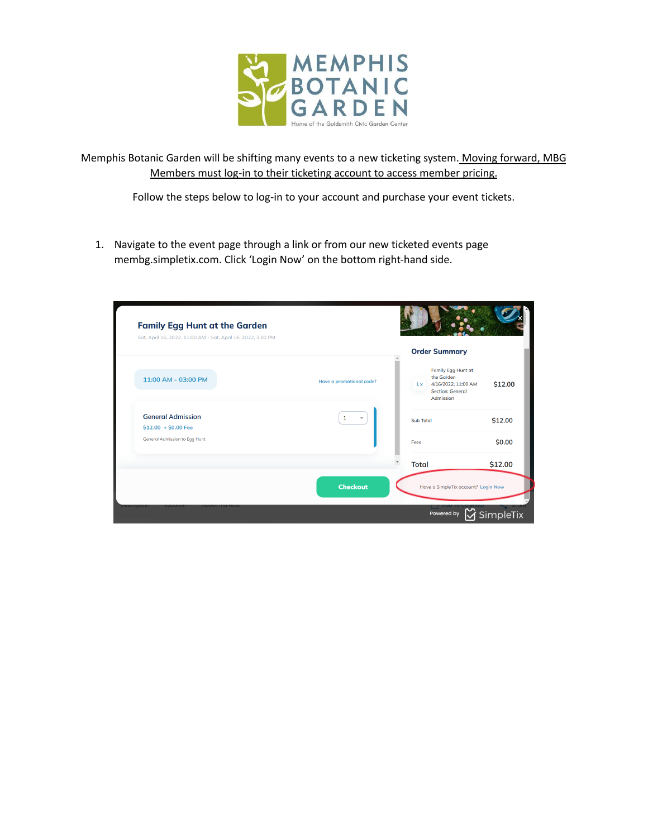

Memphis Botanic Garden will be shifting many events to a new ticketing system. Moving forward, MBG Members must log-in to their ticketing account to access member pricing.

Follow the steps below to log-in to your account and purchase your event tickets.

1. Navigate to the event page through a link or from our new ticketed events page membg.simpletix.com. Click 'Login Now' on the bottom right-hand side.

|                                                              |                                          | <b>Order Summary</b>                                                                                  |         |
|--------------------------------------------------------------|------------------------------------------|-------------------------------------------------------------------------------------------------------|---------|
| 11:00 AM - 03:00 PM                                          | Have a promotional code?                 | Family Egg Hunt at<br>the Garden<br>4/16/2022, 11:00 AM<br>1x<br><b>Section: General</b><br>Admission | \$12.00 |
| <b>General Admission</b>                                     | $\mathbf{1}$<br>$\overline{\phantom{a}}$ | <b>Sub Total</b>                                                                                      | \$12.00 |
| $$12.00 + $0.00$ Fee<br><b>General Admission to Egg Hunt</b> |                                          | Fees                                                                                                  | \$0.00  |
|                                                              |                                          | <b>Total</b>                                                                                          | \$12.00 |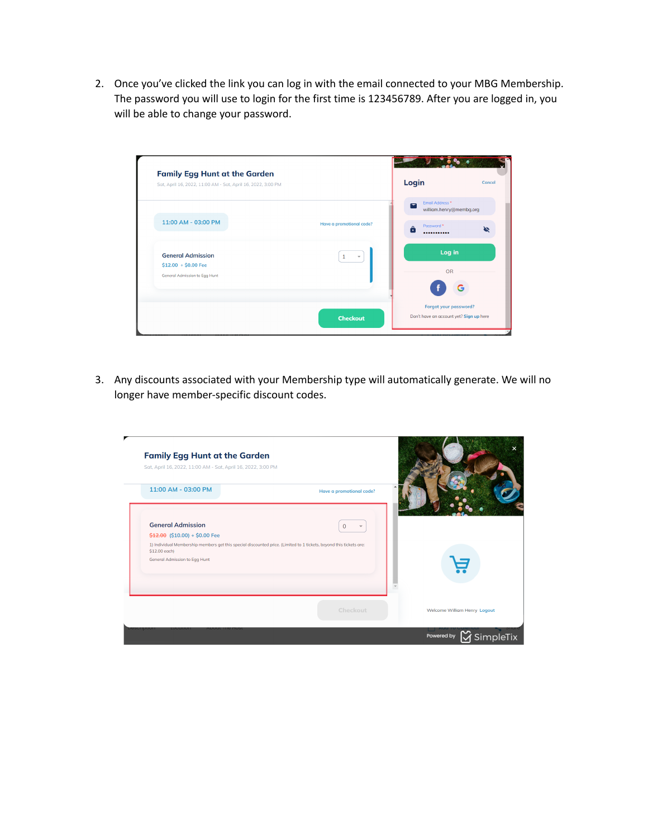2. Once you've clicked the link you can log in with the email connected to your MBG Membership. The password you will use to login for the first time is 123456789. After you are logged in, you will be able to change your password.

| Sat, April 16, 2022, 11:00 AM - Sat, April 16, 2022, 3:00 PM |                          | Login                                                        | Cancel |
|--------------------------------------------------------------|--------------------------|--------------------------------------------------------------|--------|
|                                                              |                          | Email Address *<br>$\blacksquare$<br>william.henry@membg.org |        |
| 11:00 AM - 03:00 PM                                          | Have a promotional code? | Password *<br>A<br>                                          |        |
| <b>General Admission</b><br>$$12.00 + $0.00$ Fee             | $\mathbf{1}$             | Log in                                                       |        |
| General Admission to Egg Hunt                                |                          | OR                                                           |        |
|                                                              |                          | Forgot your password?                                        |        |

3. Any discounts associated with your Membership type will automatically generate. We will no longer have member-specific discount codes.

| <b>Family Egg Hunt at the Garden</b><br>Sat, April 16, 2022, 11:00 AM - Sat, April 16, 2022, 3:00 PM                                 |                          |                                  |
|--------------------------------------------------------------------------------------------------------------------------------------|--------------------------|----------------------------------|
| 11:00 AM - 03:00 PM                                                                                                                  | Have a promotional code? |                                  |
| <b>General Admission</b><br>$$12.00$ (\$10.00) + \$0.00 Fee                                                                          | $\Omega$                 |                                  |
| 1) Individual Membership members get this special discounted price. (Limited to 1 tickets, beyond this tickets are:<br>\$12.00 each) |                          |                                  |
| <b>General Admission to Eqq Hunt</b>                                                                                                 |                          |                                  |
|                                                                                                                                      | Checkout                 | Welcome William Henry Logout     |
|                                                                                                                                      |                          | <b>V</b> SimpleTix<br>Powered by |